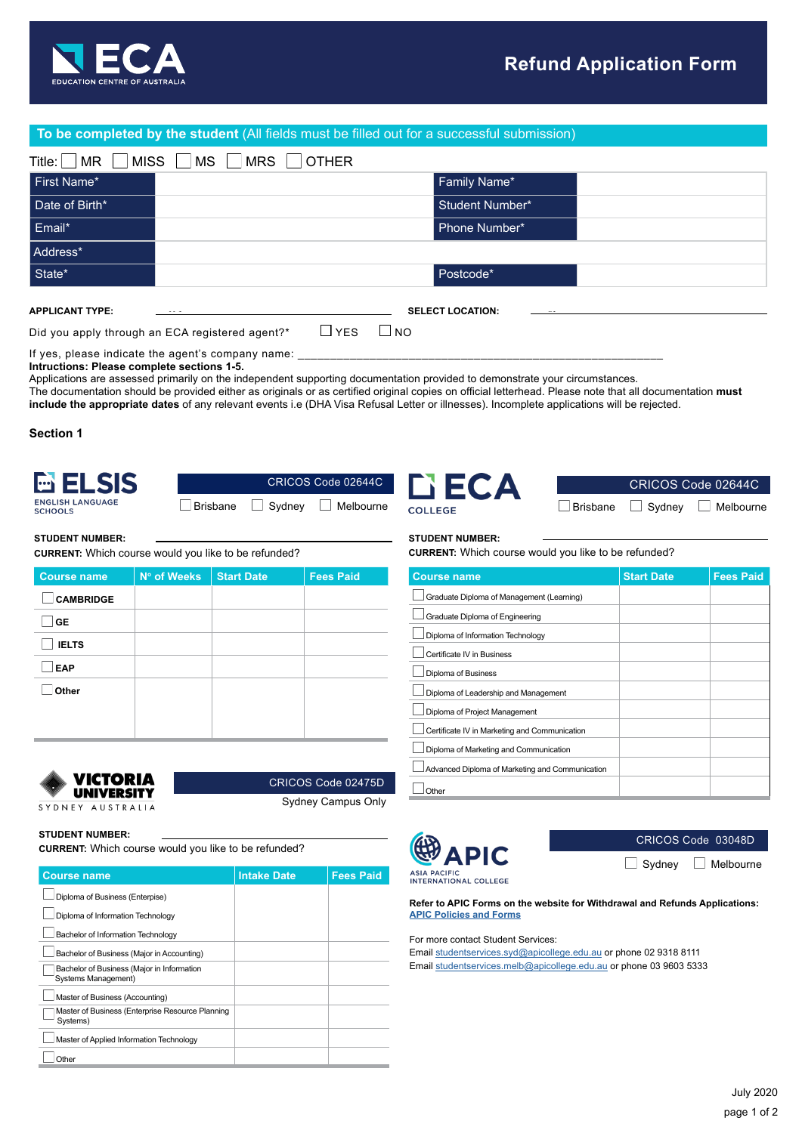

## **To be completed by the student** (All fields must be filled out for a successful submission)

| Title:<br><b>MISS</b><br>MR | <b>MRS</b><br><b>OTHER</b><br><b>MS</b> |
|-----------------------------|-----------------------------------------|
| First Name*                 | Family Name*                            |
| Date of Birth*              | <b>Student Number*</b>                  |
| Email*                      | Phone Number*                           |
| Address*                    |                                         |
| State*                      | Postcode*                               |
| <b>APPLICANT TYPE:</b>      | <b>SELECT LOCATION:</b>                 |

Did you apply through an ECA registered agent?\*  $\Box$  YES  $\Box$  NO

If yes, please indicate the agent's company name: **Intructions: Please complete sections 1-5.**

Applications are assessed primarily on the independent supporting documentation provided to demonstrate your circumstances.

The documentation should be provided either as originals or as certified original copies on official letterhead. Please note that all documentation **must include the appropriate dates** of any relevant events i.e (DHA Visa Refusal Letter or illnesses). Incomplete applications will be rejected.

**Section 1**



| $\Box$ Brisbane $\Box$ Sydney $\Box$ Melbourne |
|------------------------------------------------|



**CURRENT:** Which course would you like to be refunded?

| <b>Course name</b> | Nº of Weeks | <b>Start Date</b> | <b>Fees Paid</b> |
|--------------------|-------------|-------------------|------------------|
| <b>CAMBRIDGE</b>   |             |                   |                  |
| <b>GE</b>          |             |                   |                  |
| <b>IELTS</b>       |             |                   |                  |
| <b>EAP</b>         |             |                   |                  |
| Other              |             |                   |                  |
|                    |             |                   |                  |
|                    |             |                   |                  |



CRICOS Code 02475D

Sydney Campus Only

### **STUDENT NUMBER:**

**CURRENT:** Which course would you like to be refunded?

| <b>Course name</b>                                                | <b>Intake Date</b> | <b>Fees Paid</b> |
|-------------------------------------------------------------------|--------------------|------------------|
| Diploma of Business (Enterpise)                                   |                    |                  |
| Diploma of Information Technology                                 |                    |                  |
| Bachelor of Information Technology                                |                    |                  |
| Bachelor of Business (Major in Accounting)                        |                    |                  |
| Bachelor of Business (Major in Information<br>Systems Management) |                    |                  |
| Master of Business (Accounting)                                   |                    |                  |
| Master of Business (Enterprise Resource Planning<br>Systems)      |                    |                  |
| Master of Applied Information Technology                          |                    |                  |
| Other                                                             |                    |                  |





#### **STUDENT NUMBER:**

**CURRENT:** Which course would you like to be refunded?

| <b>Course name</b>                              | <b>Start Date</b> | <b>Fees Paid</b> |
|-------------------------------------------------|-------------------|------------------|
| Graduate Diploma of Management (Learning)       |                   |                  |
| Graduate Diploma of Engineering                 |                   |                  |
| Diploma of Information Technology               |                   |                  |
| Certificate IV in Business                      |                   |                  |
| Diploma of Business                             |                   |                  |
| Diploma of Leadership and Management            |                   |                  |
| Diploma of Project Management                   |                   |                  |
| Certificate IV in Marketing and Communication   |                   |                  |
| Diploma of Marketing and Communication          |                   |                  |
| Advanced Diploma of Marketing and Communication |                   |                  |
| Other                                           |                   |                  |



CRICOS Code 03048D  $\Box$  Sydney  $\Box$  Melbourne

**ASIA PACIFIC<br>INTERNATIONAL COLLEGE** 

**Refer to APIC Forms on the website for Withdrawal and Refunds Applications: [APIC Policies and Forms](https://apicollege.edu.au/policies-and-regulations/)**

For more contact Student Services:

Email [studentservices.syd@apicollege.edu.au](mailto:studentservices.syd%40apicollege.edu.au?subject=) or phone 02 9318 8111 Email [studentservices.melb@apicollege.edu.au](mailto:studentservices.melb%40apicollege.edu.au?subject=) or phone 03 9603 5333